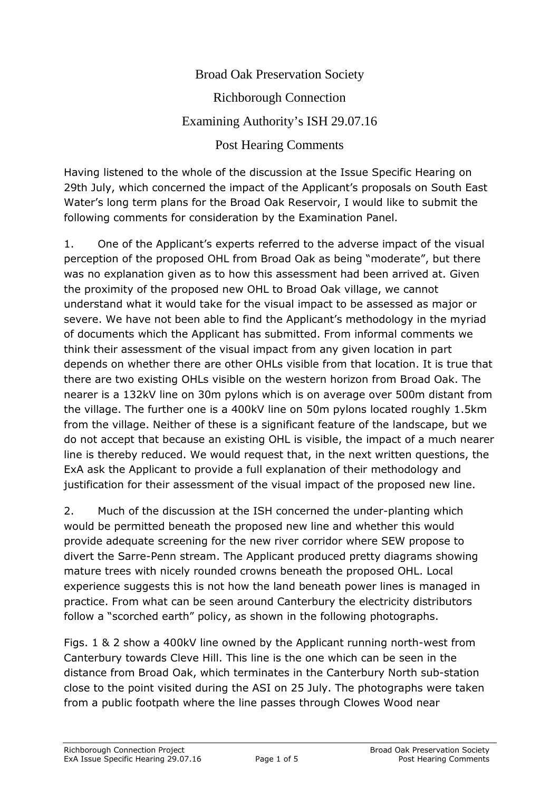## Broad Oak Preservation Society Richborough Connection Examining Authority's ISH 29.07.16 Post Hearing Comments

Having listened to the whole of the discussion at the Issue Specific Hearing on 29th July, which concerned the impact of the Applicant's proposals on South East Water's long term plans for the Broad Oak Reservoir, I would like to submit the following comments for consideration by the Examination Panel.

1. One of the Applicant's experts referred to the adverse impact of the visual perception of the proposed OHL from Broad Oak as being "moderate", but there was no explanation given as to how this assessment had been arrived at. Given the proximity of the proposed new OHL to Broad Oak village, we cannot understand what it would take for the visual impact to be assessed as major or severe. We have not been able to find the Applicant's methodology in the myriad of documents which the Applicant has submitted. From informal comments we think their assessment of the visual impact from any given location in part depends on whether there are other OHLs visible from that location. It is true that there are two existing OHLs visible on the western horizon from Broad Oak. The nearer is a 132kV line on 30m pylons which is on average over 500m distant from the village. The further one is a 400kV line on 50m pylons located roughly 1.5km from the village. Neither of these is a significant feature of the landscape, but we do not accept that because an existing OHL is visible, the impact of a much nearer line is thereby reduced. We would request that, in the next written questions, the ExA ask the Applicant to provide a full explanation of their methodology and justification for their assessment of the visual impact of the proposed new line.

2. Much of the discussion at the ISH concerned the under-planting which would be permitted beneath the proposed new line and whether this would provide adequate screening for the new river corridor where SEW propose to divert the Sarre-Penn stream. The Applicant produced pretty diagrams showing mature trees with nicely rounded crowns beneath the proposed OHL. Local experience suggests this is not how the land beneath power lines is managed in practice. From what can be seen around Canterbury the electricity distributors follow a "scorched earth" policy, as shown in the following photographs.

Figs. 1 & 2 show a 400kV line owned by the Applicant running north-west from Canterbury towards Cleve Hill. This line is the one which can be seen in the distance from Broad Oak, which terminates in the Canterbury North sub-station close to the point visited during the ASI on 25 July. The photographs were taken from a public footpath where the line passes through Clowes Wood near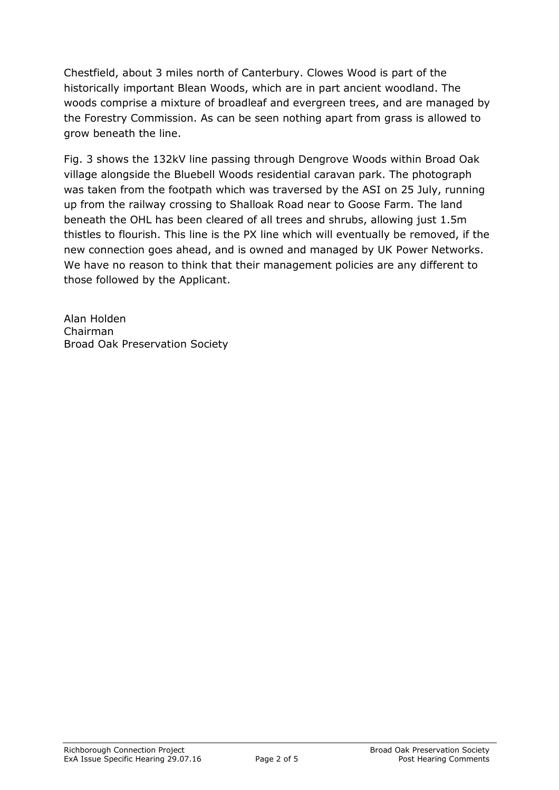Chestfield, about 3 miles north of Canterbury. Clowes Wood is part of the historically important Blean Woods, which are in part ancient woodland. The woods comprise a mixture of broadleaf and evergreen trees, and are managed by the Forestry Commission. As can be seen nothing apart from grass is allowed to grow beneath the line.

Fig. 3 shows the 132kV line passing through Dengrove Woods within Broad Oak village alongside the Bluebell Woods residential caravan park. The photograph was taken from the footpath which was traversed by the ASI on 25 July, running up from the railway crossing to Shalloak Road near to Goose Farm. The land beneath the OHL has been cleared of all trees and shrubs, allowing just 1.5m thistles to flourish. This line is the PX line which will eventually be removed, if the new connection goes ahead, and is owned and managed by UK Power Networks. We have no reason to think that their management policies are any different to those followed by the Applicant.

Alan Holden Chairman Broad Oak Preservation Society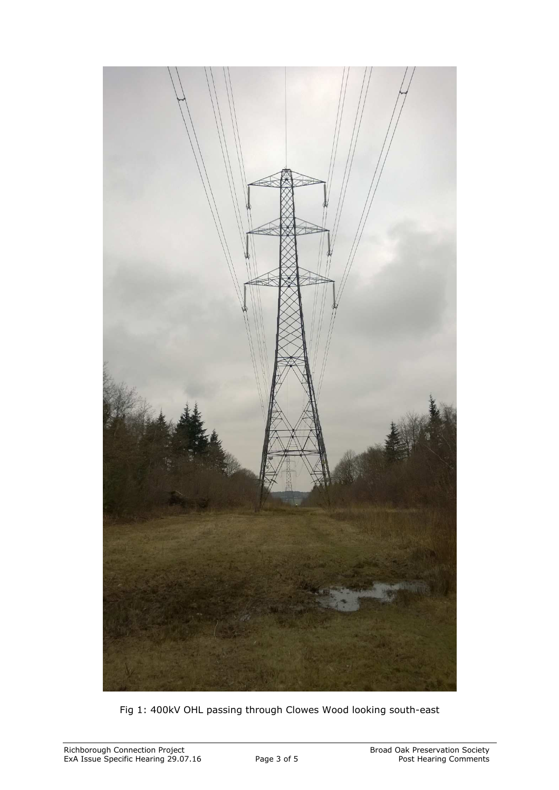

Fig 1: 400kV OHL passing through Clowes Wood looking south-east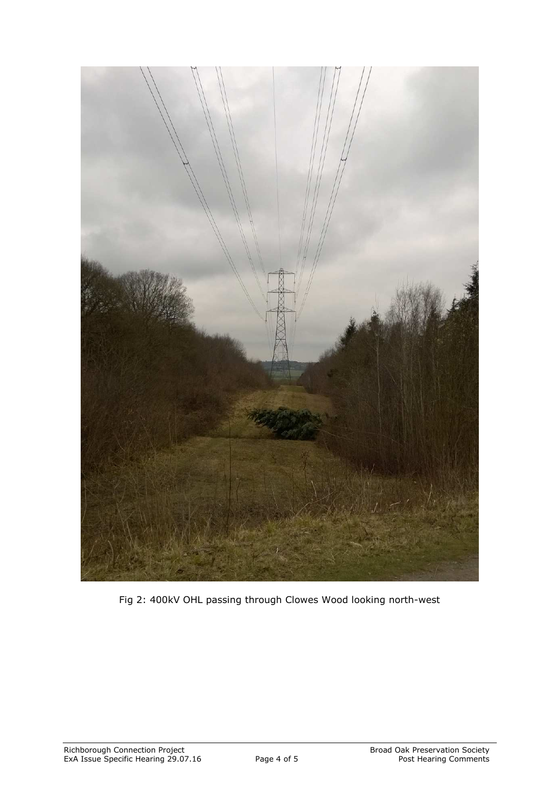

Fig 2: 400kV OHL passing through Clowes Wood looking north-west